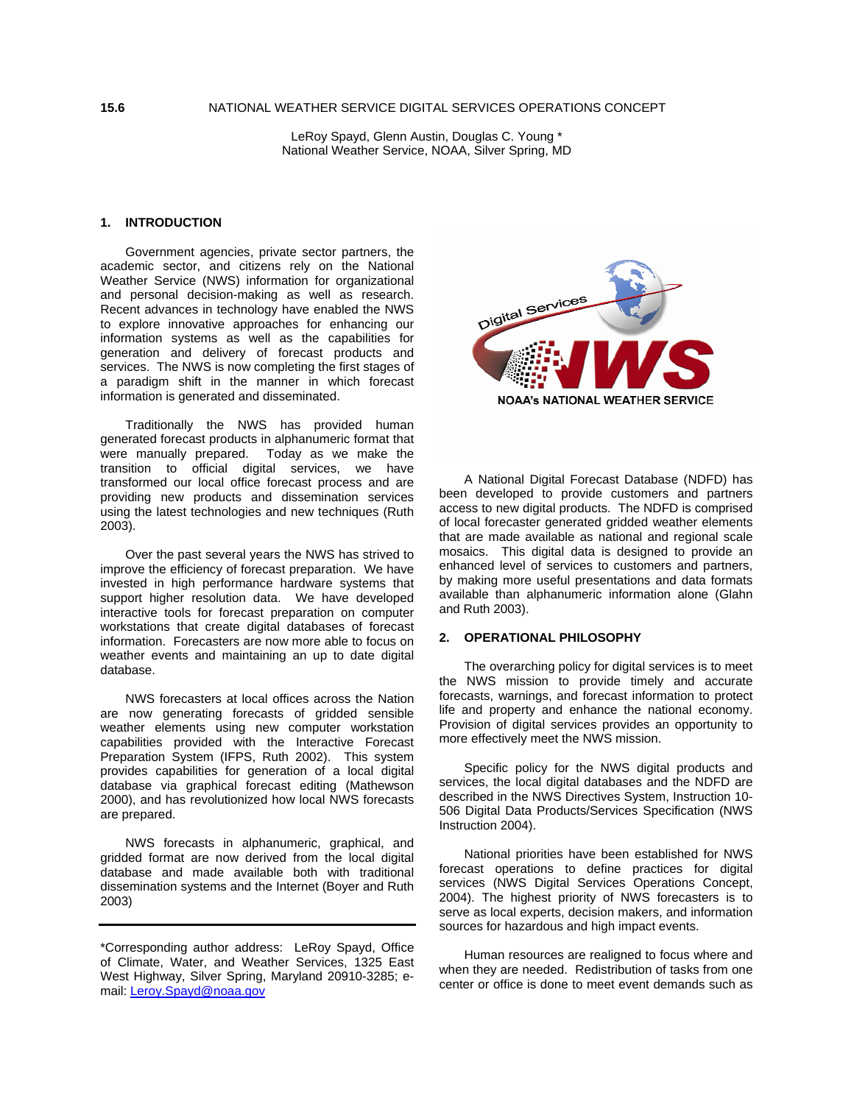LeRoy Spayd, Glenn Austin, Douglas C. Young \* National Weather Service, NOAA, Silver Spring, MD

## **1. INTRODUCTION**

 Government agencies, private sector partners, the academic sector, and citizens rely on the National Weather Service (NWS) information for organizational and personal decision-making as well as research. Recent advances in technology have enabled the NWS to explore innovative approaches for enhancing our information systems as well as the capabilities for generation and delivery of forecast products and services. The NWS is now completing the first stages of a paradigm shift in the manner in which forecast information is generated and disseminated.

 Traditionally the NWS has provided human generated forecast products in alphanumeric format that were manually prepared. Today as we make the transition to official digital services, we have transformed our local office forecast process and are providing new products and dissemination services using the latest technologies and new techniques (Ruth 2003).

 Over the past several years the NWS has strived to improve the efficiency of forecast preparation. We have invested in high performance hardware systems that support higher resolution data. We have developed interactive tools for forecast preparation on computer workstations that create digital databases of forecast information. Forecasters are now more able to focus on weather events and maintaining an up to date digital database.

 NWS forecasters at local offices across the Nation are now generating forecasts of gridded sensible weather elements using new computer workstation capabilities provided with the Interactive Forecast Preparation System (IFPS, Ruth 2002). This system provides capabilities for generation of a local digital database via graphical forecast editing (Mathewson 2000), and has revolutionized how local NWS forecasts are prepared.

 NWS forecasts in alphanumeric, graphical, and gridded format are now derived from the local digital database and made available both with traditional dissemination systems and the Internet (Boyer and Ruth 2003)



 A National Digital Forecast Database (NDFD) has been developed to provide customers and partners access to new digital products. The NDFD is comprised of local forecaster generated gridded weather elements that are made available as national and regional scale mosaics. This digital data is designed to provide an enhanced level of services to customers and partners, by making more useful presentations and data formats available than alphanumeric information alone (Glahn and Ruth 2003).

## **2. OPERATIONAL PHILOSOPHY**

 The overarching policy for digital services is to meet the NWS mission to provide timely and accurate forecasts, warnings, and forecast information to protect life and property and enhance the national economy. Provision of digital services provides an opportunity to more effectively meet the NWS mission.

 Specific policy for the NWS digital products and services, the local digital databases and the NDFD are described in the NWS Directives System, Instruction 10- 506 Digital Data Products/Services Specification (NWS Instruction 2004).

 National priorities have been established for NWS forecast operations to define practices for digital services (NWS Digital Services Operations Concept, 2004). The highest priority of NWS forecasters is to serve as local experts, decision makers, and information sources for hazardous and high impact events.

 Human resources are realigned to focus where and when they are needed. Redistribution of tasks from one center or office is done to meet event demands such as

<sup>\*</sup>Corresponding author address: LeRoy Spayd, Office of Climate, Water, and Weather Services, 1325 East West Highway, Silver Spring, Maryland 20910-3285; email: Leroy.Spayd@noaa.gov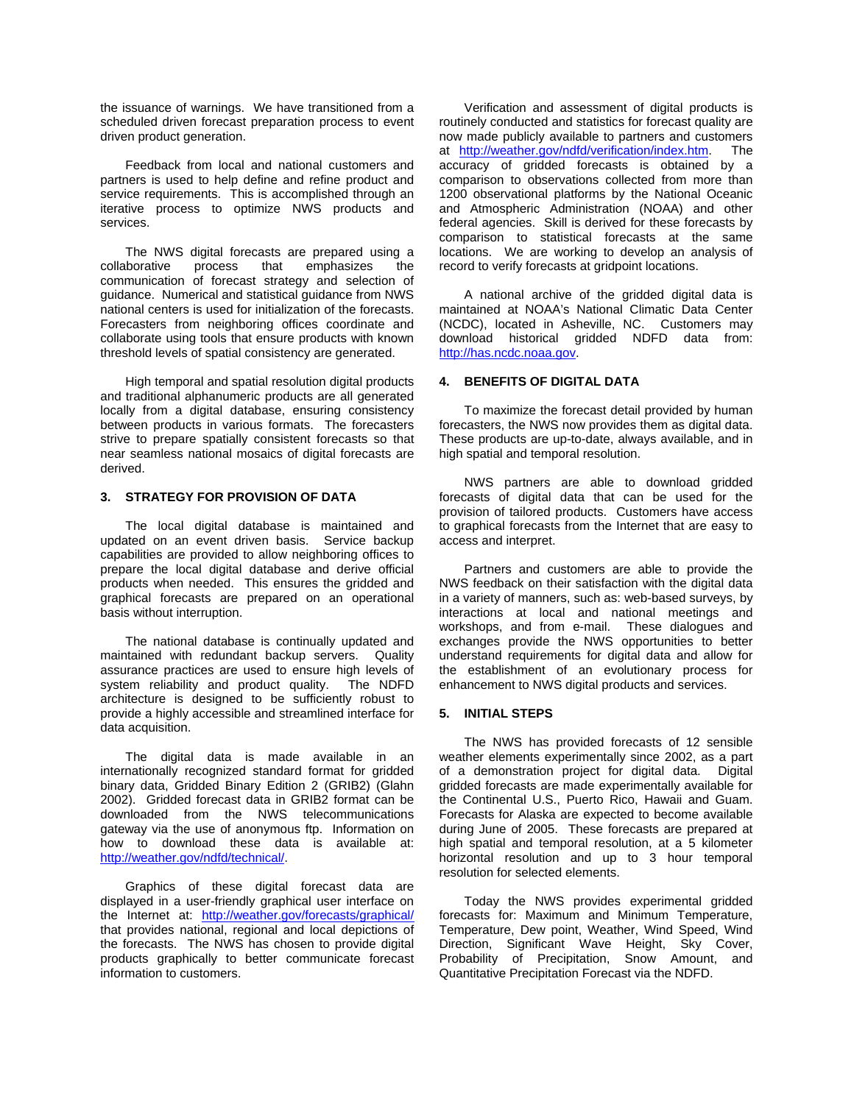the issuance of warnings. We have transitioned from a scheduled driven forecast preparation process to event driven product generation.

 Feedback from local and national customers and partners is used to help define and refine product and service requirements. This is accomplished through an iterative process to optimize NWS products and services.

The NWS digital forecasts are prepared using a<br>borative process that emphasizes the collaborative process that emphasizes the communication of forecast strategy and selection of guidance. Numerical and statistical guidance from NWS national centers is used for initialization of the forecasts. Forecasters from neighboring offices coordinate and collaborate using tools that ensure products with known threshold levels of spatial consistency are generated.

 High temporal and spatial resolution digital products and traditional alphanumeric products are all generated locally from a digital database, ensuring consistency between products in various formats. The forecasters strive to prepare spatially consistent forecasts so that near seamless national mosaics of digital forecasts are derived.

# **3. STRATEGY FOR PROVISION OF DATA**

The local digital database is maintained and updated on an event driven basis. Service backup capabilities are provided to allow neighboring offices to prepare the local digital database and derive official products when needed. This ensures the gridded and graphical forecasts are prepared on an operational basis without interruption.

 The national database is continually updated and maintained with redundant backup servers. Quality assurance practices are used to ensure high levels of system reliability and product quality. The NDFD architecture is designed to be sufficiently robust to provide a highly accessible and streamlined interface for data acquisition.

 The digital data is made available in an internationally recognized standard format for gridded binary data, Gridded Binary Edition 2 (GRIB2) (Glahn 2002). Gridded forecast data in GRIB2 format can be downloaded from the NWS telecommunications gateway via the use of anonymous ftp. Information on how to download these data is available at: http://weather.gov/ndfd/technical/.

 Graphics of these digital forecast data are displayed in a user-friendly graphical user interface on the Internet at: http://weather.gov/forecasts/graphical/ that provides national, regional and local depictions of the forecasts. The NWS has chosen to provide digital products graphically to better communicate forecast information to customers.

 Verification and assessment of digital products is routinely conducted and statistics for forecast quality are now made publicly available to partners and customers at http://weather.gov/ndfd/verification/index.htm. The accuracy of gridded forecasts is obtained by a comparison to observations collected from more than 1200 observational platforms by the National Oceanic and Atmospheric Administration (NOAA) and other federal agencies. Skill is derived for these forecasts by comparison to statistical forecasts at the same locations. We are working to develop an analysis of record to verify forecasts at gridpoint locations.

 A national archive of the gridded digital data is maintained at NOAA's National Climatic Data Center (NCDC), located in Asheville, NC. Customers may download historical gridded NDFD data from: http://has.ncdc.noaa.gov.

# **4. BENEFITS OF DIGITAL DATA**

To maximize the forecast detail provided by human forecasters, the NWS now provides them as digital data. These products are up-to-date, always available, and in high spatial and temporal resolution.

 NWS partners are able to download gridded forecasts of digital data that can be used for the provision of tailored products. Customers have access to graphical forecasts from the Internet that are easy to access and interpret.

 Partners and customers are able to provide the NWS feedback on their satisfaction with the digital data in a variety of manners, such as: web-based surveys, by interactions at local and national meetings and workshops, and from e-mail. These dialogues and exchanges provide the NWS opportunities to better understand requirements for digital data and allow for the establishment of an evolutionary process for enhancement to NWS digital products and services.

#### **5. INITIAL STEPS**

The NWS has provided forecasts of 12 sensible weather elements experimentally since 2002, as a part of a demonstration project for digital data. Digital gridded forecasts are made experimentally available for the Continental U.S., Puerto Rico, Hawaii and Guam. Forecasts for Alaska are expected to become available during June of 2005. These forecasts are prepared at high spatial and temporal resolution, at a 5 kilometer horizontal resolution and up to 3 hour temporal resolution for selected elements.

 Today the NWS provides experimental gridded forecasts for: Maximum and Minimum Temperature, Temperature, Dew point, Weather, Wind Speed, Wind Direction, Significant Wave Height, Sky Cover, Probability of Precipitation, Snow Amount, and Quantitative Precipitation Forecast via the NDFD.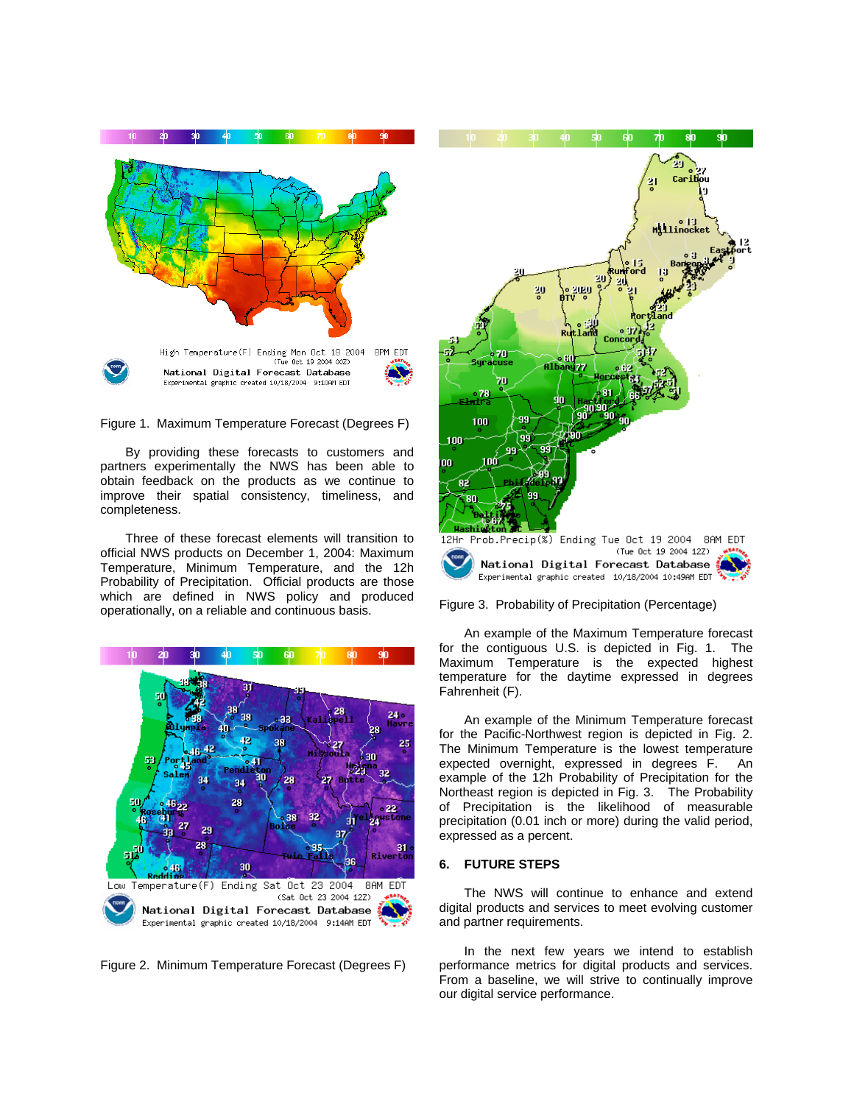



By providing these forecasts to customers and partners experimentally the NWS has been able to obtain feedback on the products as we continue to improve their spatial consistency, timeliness, and completeness.

 Three of these forecast elements will transition to official NWS products on December 1, 2004: Maximum Temperature, Minimum Temperature, and the 12h Probability of Precipitation. Official products are those which are defined in NWS policy and produced operationally, on a reliable and continuous basis.



Figure 2. Minimum Temperature Forecast (Degrees F)





 An example of the Maximum Temperature forecast for the contiguous U.S. is depicted in Fig. 1. The Maximum Temperature is the expected highest temperature for the daytime expressed in degrees Fahrenheit (F).

 An example of the Minimum Temperature forecast for the Pacific-Northwest region is depicted in Fig. 2. The Minimum Temperature is the lowest temperature expected overnight, expressed in degrees F. An example of the 12h Probability of Precipitation for the Northeast region is depicted in Fig. 3. The Probability of Precipitation is the likelihood of measurable precipitation (0.01 inch or more) during the valid period, expressed as a percent.

#### **6. FUTURE STEPS**

The NWS will continue to enhance and extend digital products and services to meet evolving customer and partner requirements.

In the next few years we intend to establish performance metrics for digital products and services. From a baseline, we will strive to continually improve our digital service performance.